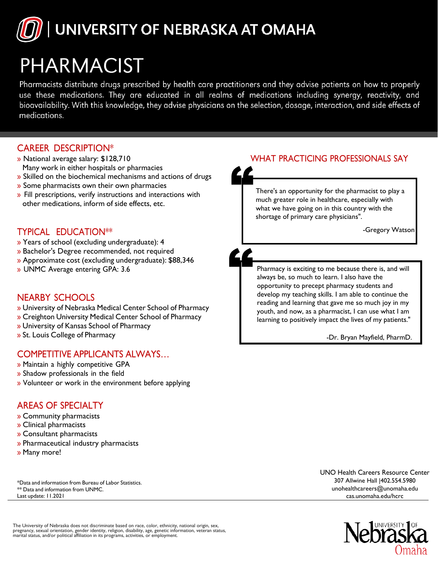

# PHARMACIST

Pharmacists distribute drugs prescribed by health care practitioners and they advise patients on how to properly use these medications. They are educated in all realms of medications including synergy, reactivity, and bioavailability. With this knowledge, they advise physicians on the selection, dosage, interaction, and side effects of medications.

### CAREER DESCRIPTION\*

- » National average salary: \$128,710 Many work in either hospitals or pharmacies
- » Skilled on the biochemical mechanisms and actions of drugs
- » Some pharmacists own their own pharmacies
- » Fill prescriptions, verify instructions and interactions with other medications, inform of side effects, etc.

#### TYPICAL EDUCATION\*\*

- » Years of school (excluding undergraduate): 4
- » Bachelor's Degree recommended, not required
- » Approximate cost (excluding undergraduate): \$88,346
- » UNMC Average entering GPA: 3.6

#### NEARBY SCHOOLS

- » University of Nebraska Medical Center School of Pharmacy
- » Creighton University Medical Center School of Pharmacy
- » University of Kansas School of Pharmacy
- » St. Louis College of Pharmacy

#### COMPETITIVE APPLICANTS ALWAYS…

- » Maintain a highly competitive GPA
- » Shadow professionals in the field
- » Volunteer or work in the environment before applying

## AREAS OF SPECIALTY

- » Community pharmacists
- » Clinical pharmacists
- » Consultant pharmacists
- » Pharmaceutical industry pharmacists
- » Many more!

\*Data and information from Bureau of Labor Statistics. \*\* Data and information from UNMC. Last update: 11.2021

WHAT PRACTICING PROFESSIONALS SAY

There's an opportunity for the pharmacist to play a much greater role in healthcare, especially with what we have going on in this country with the

shortage of primary care physicians".

-Gregory Watson

Pharmacy is exciting to me because there is, and will always be, so much to learn. I also have the opportunity to precept pharmacy students and develop my teaching skills. I am able to continue the reading and learning that gave me so much joy in my youth, and now, as a pharmacist, I can use what I am learning to positively impact the lives of my patients."

-Dr. Bryan Mayfield, PharmD.

UNO Health Careers Resource Center 307 Allwine Hall |402.554.5980 [unohealthcareers@unomaha.edu](mailto:unohealthcareers@unomaha.edu) cas.unomaha.edu/hcrc



The University of Nebraska does not discriminate based on race, color, ethnicity, national origin, sex,<br>pregnancy, sexual orientation, gender identity, religion, disability, age, genetic information, veteran status,<br>marita